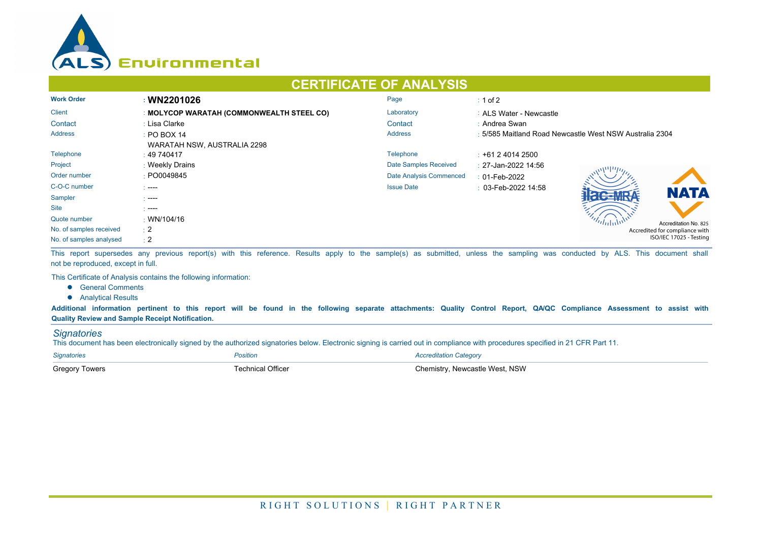

## **CERTIFICATE OF ANALYSIS**

| <b>Work Order</b>       | : WN2201026                               | Page                    | $\div$ 1 of 2                                           |  |  |
|-------------------------|-------------------------------------------|-------------------------|---------------------------------------------------------|--|--|
| <b>Client</b>           | : MOLYCOP WARATAH (COMMONWEALTH STEEL CO) | Laboratory              | : ALS Water - Newcastle                                 |  |  |
| Contact                 | : Lisa Clarke                             | Contact                 | : Andrea Swan                                           |  |  |
| <b>Address</b>          | $\div$ PO BOX 14                          | <b>Address</b>          | : 5/585 Maitland Road Newcastle West NSW Australia 2304 |  |  |
|                         | WARATAH NSW, AUSTRALIA 2298               |                         |                                                         |  |  |
| Telephone               | $\pm 49\,740417$                          | <b>Telephone</b>        | $\pm$ +61 2 4014 2500                                   |  |  |
| Project                 | : Weekly Drains                           | Date Samples Received   | : 27-Jan-2022 14:56                                     |  |  |
| Order number            | : PO0049845                               | Date Analysis Commenced | $: 01$ -Feb-2022                                        |  |  |
| C-O-C number            | $\sim$ ----                               | <b>Issue Date</b>       | $\pm$ 03-Feb-2022 14:58                                 |  |  |
| Sampler                 | - ----                                    |                         | <b>NATA</b>                                             |  |  |
| <b>Site</b>             | - ----                                    |                         |                                                         |  |  |
| Quote number            | $\cdot$ WN/104/16                         |                         | Accreditation No. 825                                   |  |  |
| No. of samples received | $\pm 2$                                   |                         | Accredited for compliance with                          |  |  |
| No. of samples analysed | $\div 2$                                  |                         | ISO/IEC 17025 - Testing                                 |  |  |

This report supersedes any previous report(s) with this reference. Results apply to the sample(s) as submitted, unless the sampling was conducted by ALS. This document shall not be reproduced, except in full.

This Certificate of Analysis contains the following information:

- **•** General Comments
- **•** Analytical Results

**Additional information pertinent to this report will be found in the following separate attachments: Quality Control Report, QA/QC Compliance Assessment to assist with Quality Review and Sample Receipt Notification.**

## *Signatories*

This document has been electronically signed by the authorized signatories below. Electronic signing is carried out in compliance with procedures specified in 21 CFR Part 11.

| <b>Signatories</b>    | Position                 | <b>Accreditation Category</b>  |
|-----------------------|--------------------------|--------------------------------|
| <b>Gregory Towers</b> | <b>Fechnical Officer</b> | Chemistry. Newcastle West. NSW |